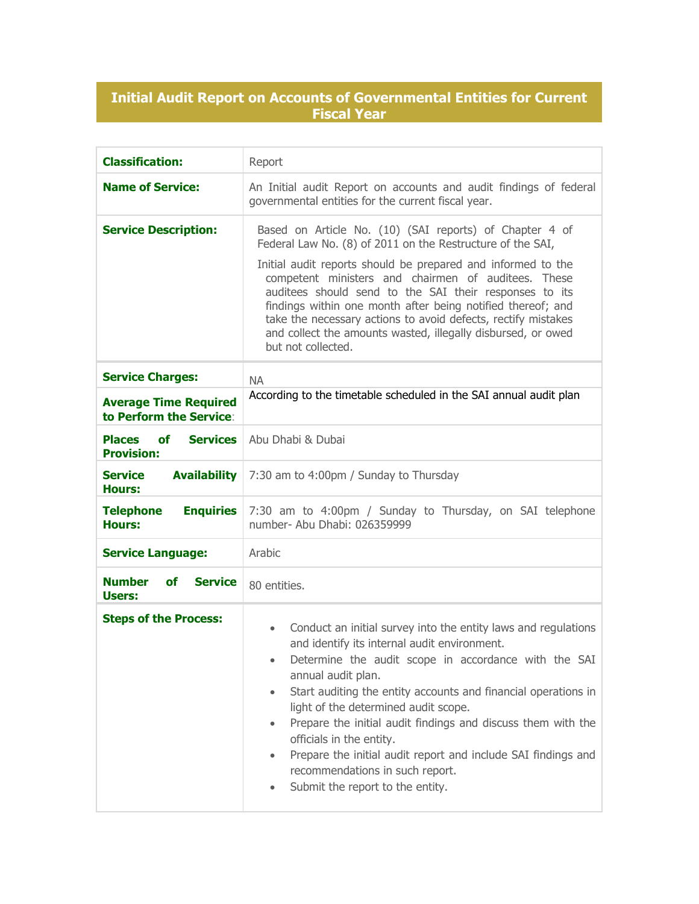## **Initial Audit Report on Accounts of Governmental Entities for Current Fiscal Year**

| <b>Classification:</b>                                             | Report                                                                                                                                                                                                                                                                                                                                                                                                                                                                                                                                                               |
|--------------------------------------------------------------------|----------------------------------------------------------------------------------------------------------------------------------------------------------------------------------------------------------------------------------------------------------------------------------------------------------------------------------------------------------------------------------------------------------------------------------------------------------------------------------------------------------------------------------------------------------------------|
| <b>Name of Service:</b>                                            | An Initial audit Report on accounts and audit findings of federal<br>governmental entities for the current fiscal year.                                                                                                                                                                                                                                                                                                                                                                                                                                              |
| <b>Service Description:</b>                                        | Based on Article No. (10) (SAI reports) of Chapter 4 of<br>Federal Law No. (8) of 2011 on the Restructure of the SAI,<br>Initial audit reports should be prepared and informed to the<br>competent ministers and chairmen of auditees. These<br>auditees should send to the SAI their responses to its<br>findings within one month after being notified thereof; and<br>take the necessary actions to avoid defects, rectify mistakes<br>and collect the amounts wasted, illegally disbursed, or owed<br>but not collected.                                         |
| <b>Service Charges:</b>                                            | <b>NA</b>                                                                                                                                                                                                                                                                                                                                                                                                                                                                                                                                                            |
| <b>Average Time Required</b><br>to Perform the Service:            | According to the timetable scheduled in the SAI annual audit plan                                                                                                                                                                                                                                                                                                                                                                                                                                                                                                    |
| <b>Places</b><br><b>Services</b><br><b>of</b><br><b>Provision:</b> | Abu Dhabi & Dubai                                                                                                                                                                                                                                                                                                                                                                                                                                                                                                                                                    |
| <b>Service</b><br><b>Availability</b><br>Hours:                    | 7:30 am to 4:00pm / Sunday to Thursday                                                                                                                                                                                                                                                                                                                                                                                                                                                                                                                               |
| <b>Enquiries</b><br><b>Telephone</b><br><b>Hours:</b>              | 7:30 am to 4:00pm / Sunday to Thursday, on SAI telephone<br>number- Abu Dhabi: 026359999                                                                                                                                                                                                                                                                                                                                                                                                                                                                             |
| <b>Service Language:</b>                                           | Arabic                                                                                                                                                                                                                                                                                                                                                                                                                                                                                                                                                               |
| <b>Number</b><br><b>Service</b><br><b>of</b><br>Users:             | 80 entities.                                                                                                                                                                                                                                                                                                                                                                                                                                                                                                                                                         |
| <b>Steps of the Process:</b>                                       | Conduct an initial survey into the entity laws and regulations<br>$\bullet$<br>and identify its internal audit environment.<br>Determine the audit scope in accordance with the SAI<br>annual audit plan.<br>Start auditing the entity accounts and financial operations in<br>light of the determined audit scope.<br>Prepare the initial audit findings and discuss them with the<br>officials in the entity.<br>Prepare the initial audit report and include SAI findings and<br>$\bullet$<br>recommendations in such report.<br>Submit the report to the entity. |